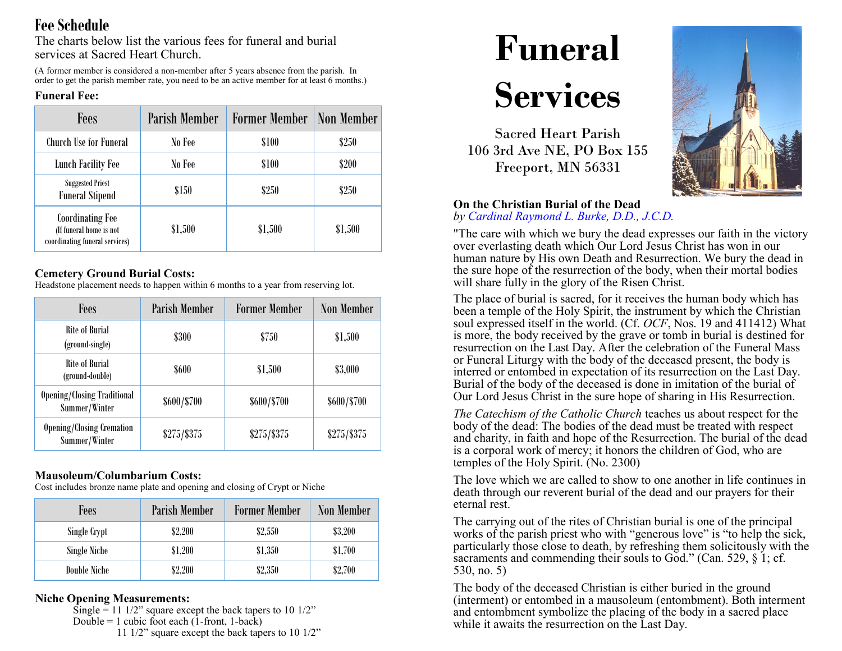# **Fee Schedule**

The charts below list the various fees for funeral and burial services at Sacred Heart Church.

(A former member is considered a non-member after 5 years absence from the parish. In order to get the parish member rate, you need to be an active member for at least 6 months.)

#### **Funeral Fee:**

| Fees                                                                                 | <b>Parish Member</b> | <b>Former Member</b> | Non Member |
|--------------------------------------------------------------------------------------|----------------------|----------------------|------------|
| Church Use for Funeral                                                               | No Fee               | \$100                | \$250      |
| <b>Lunch Facility Fee</b>                                                            | No Fee               | \$100                | \$200      |
| <b>Suggested Priest</b><br><b>Funeral Stipend</b>                                    | \$150                | \$250                | \$250      |
| <b>Coordinating Fee</b><br>(If funeral home is not<br>coordinating funeral services) | \$1,500              | \$1,500              | \$1,500    |

#### **Cemetery Ground Burial Costs:**

Headstone placement needs to happen within 6 months to a year from reserving lot.

| Fees                                                | <b>Parish Member</b> | <b>Former Member</b> | <b>Non Member</b> |
|-----------------------------------------------------|----------------------|----------------------|-------------------|
| Rite of Burial<br>(ground-single)                   | <b>\$300</b>         | \$750                | \$1,500           |
| Rite of Burial<br>(ground-double)                   | \$600                | \$1,500              | \$3,000           |
| <b>Opening/Closing Traditional</b><br>Summer/Winter | \$600/\$700          | \$600/\$700          | \$600/\$700       |
| <b>Opening/Closing Cremation</b><br>Summer/Winter   | $$275/$ \$375        | $$275/$ \$375        | $$275/$ \$375     |

### **Mausoleum/Columbarium Costs:**

Cost includes bronze name plate and opening and closing of Crypt or Niche

| Fees         | Parish Member | <b>Former Member</b> | Non Member |
|--------------|---------------|----------------------|------------|
| Single Crypt | \$2,200       | \$2,550              | \$3,200    |
| Single Niche | \$1,200       | \$1,350              | \$1,700    |
| Double Niche | \$2,200       | \$2,350              | \$2,700    |

### **Niche Opening Measurements:**

Single = 11  $1/2$ " square except the back tapers to 10  $1/2$ " Double = 1 cubic foot each  $(1$ -front, 1-back) 11 1/2" square except the back tapers to 10 1/2"



# **Services**

Sacred Heart Parish 106 3rd Ave NE, PO Box 155 Freeport, MN 56331



#### **On the Christian Burial of the Dead** *by Cardinal Raymond L. Burke, D.D., J.C.D.*

"The care with which we bury the dead expresses our faith in the victory over everlasting death which Our Lord Jesus Christ has won in our human nature by His own Death and Resurrection. We bury the dead in the sure hope of the resurrection of the body, when their mortal bodies will share fully in the glory of the Risen Christ.

The place of burial is sacred, for it receives the human body which has been a temple of the Holy Spirit, the instrument by which the Christian soul expressed itself in the world. (Cf. *OCF*, Nos. 19 and 411412) What is more, the body received by the grave or tomb in burial is destined for resurrection on the Last Day. After the celebration of the Funeral Mass or Funeral Liturgy with the body of the deceased present, the body is interred or entombed in expectation of its resurrection on the Last Day. Burial of the body of the deceased is done in imitation of the burial of Our Lord Jesus Christ in the sure hope of sharing in His Resurrection.

*The Catechism of the Catholic Church* teaches us about respect for the body of the dead: The bodies of the dead must be treated with respect and charity, in faith and hope of the Resurrection. The burial of the dead is a corporal work of mercy; it honors the children of God, who are temples of the Holy Spirit. (No. 2300)

The love which we are called to show to one another in life continues in death through our reverent burial of the dead and our prayers for their eternal rest.

The carrying out of the rites of Christian burial is one of the principal works of the parish priest who with "generous love" is "to help the sick, particularly those close to death, by refreshing them solicitously with the sacraments and commending their souls to God." (Can. 529, § 1; cf. 530, no. 5)

The body of the deceased Christian is either buried in the ground (interment) or entombed in a mausoleum (entombment). Both interment and entombment symbolize the placing of the body in a sacred place while it awaits the resurrection on the Last Day.